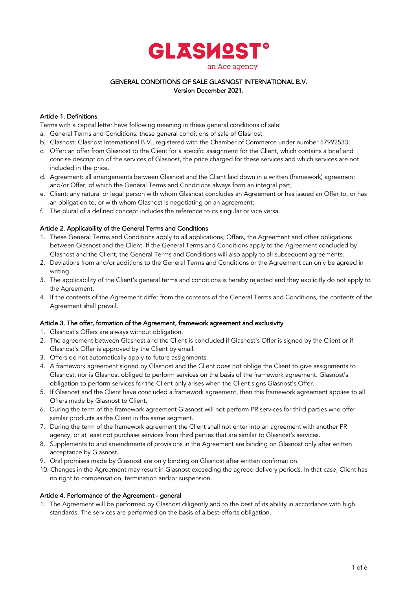

### GENERAL CONDITIONS OF SALE GLASNOST INTERNATIONAL B.V. Version December 2021.

# Article 1. Definitions

Terms with a capital letter have following meaning in these general conditions of sale:

- a. General Terms and Conditions: these general conditions of sale of Glasnost;
- b. Glasnost: Glasnost International B.V., registered with the Chamber of Commerce under number 57992533;
- c. Offer: an offer from Glasnost to the Client for a specific assignment for the Client, which contains a brief and concise description of the services of Glasnost, the price charged for these services and which services are not included in the price.
- d. Agreement: all arrangements between Glasnost and the Client laid down in a written (framework) agreement and/or Offer, of which the General Terms and Conditions always form an integral part;
- e. Client: any natural or legal person with whom Glasnost concludes an Agreement or has issued an Offer to, or has an obligation to, or with whom Glasnost is negotiating on an agreement;
- f. The plural of a defined concept includes the reference to its singular or vice versa.

### Article 2. Applicability of the General Terms and Conditions

- 1. These General Terms and Conditions apply to all applications, Offers, the Agreement and other obligations between Glasnost and the Client. If the General Terms and Conditions apply to the Agreement concluded by Glasnost and the Client, the General Terms and Conditions will also apply to all subsequent agreements.
- 2. Deviations from and/or additions to the General Terms and Conditions or the Agreement can only be agreed in writing.
- 3. The applicability of the Client's general terms and conditions is hereby rejected and they explicitly do not apply to the Agreement.
- 4. If the contents of the Agreement differ from the contents of the General Terms and Conditions, the contents of the Agreement shall prevail.

# Article 3. The offer, formation of the Agreement, framework agreement and exclusivity

- 1. Glasnost's Offers are always without obligation.
- 2. The agreement between Glasnost and the Client is concluded if Glasnost's Offer is signed by the Client or if Glasnost's Offer is approved by the Client by email.
- 3. Offers do not automatically apply to future assignments.
- 4. A framework agreement signed by Glasnost and the Client does not oblige the Client to give assignments to Glasnost, nor is Glasnost obliged to perform services on the basis of the framework agreement. Glasnost's obligation to perform services for the Client only arises when the Client signs Glasnost's Offer.
- 5. If Glasnost and the Client have concluded a framework agreement, then this framework agreement applies to all Offers made by Glasnost to Client.
- 6. During the term of the framework agreement Glasnost will not perform PR services for third parties who offer similar products as the Client in the same segment.
- 7. During the term of the framework agreement the Client shall not enter into an agreement with another PR agency, or at least not purchase services from third parties that are similar to Glasnost's services.
- 8. Supplements to and amendments of provisions in the Agreement are binding on Glasnost only after written acceptance by Glasnost.
- 9. Oral promises made by Glasnost are only binding on Glasnost after written confirmation.
- 10. Changes in the Agreement may result in Glasnost exceeding the agreed delivery periods. In that case, Client has no right to compensation, termination and/or suspension.

#### Article 4. Performance of the Agreement - general

1. The Agreement will be performed by Glasnost diligently and to the best of its ability in accordance with high standards. The services are performed on the basis of a best-efforts obligation.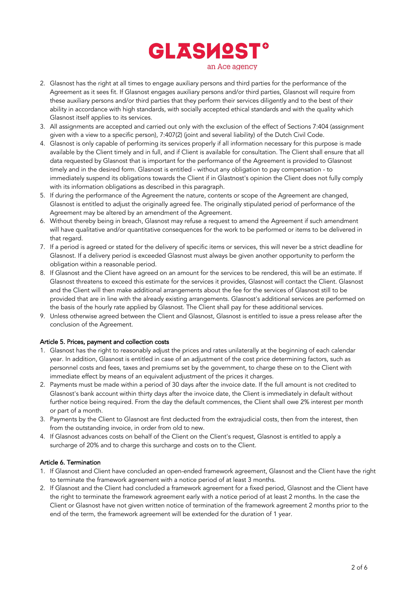

- 2. Glasnost has the right at all times to engage auxiliary persons and third parties for the performance of the Agreement as it sees fit. If Glasnost engages auxiliary persons and/or third parties, Glasnost will require from these auxiliary persons and/or third parties that they perform their services diligently and to the best of their ability in accordance with high standards, with socially accepted ethical standards and with the quality which Glasnost itself applies to its services.
- 3. All assignments are accepted and carried out only with the exclusion of the effect of Sections 7:404 (assignment given with a view to a specific person), 7:407(2) (joint and several liability) of the Dutch Civil Code.
- 4. Glasnost is only capable of performing its services properly if all information necessary for this purpose is made available by the Client timely and in full, and if Client is available for consultation. The Client shall ensure that all data requested by Glasnost that is important for the performance of the Agreement is provided to Glasnost timely and in the desired form. Glasnost is entitled - without any obligation to pay compensation - to immediately suspend its obligations towards the Client if in Glastnost's opinion the Client does not fully comply with its information obligations as described in this paragraph.
- 5. If during the performance of the Agreement the nature, contents or scope of the Agreement are changed, Glasnost is entitled to adjust the originally agreed fee. The originally stipulated period of performance of the Agreement may be altered by an amendment of the Agreement.
- 6. Without thereby being in breach, Glasnost may refuse a request to amend the Agreement if such amendment will have qualitative and/or quantitative consequences for the work to be performed or items to be delivered in that regard.
- 7. If a period is agreed or stated for the delivery of specific items or services, this will never be a strict deadline for Glasnost. If a delivery period is exceeded Glasnost must always be given another opportunity to perform the obligation within a reasonable period.
- 8. If Glasnost and the Client have agreed on an amount for the services to be rendered, this will be an estimate. If Glasnost threatens to exceed this estimate for the services it provides, Glasnost will contact the Client. Glasnost and the Client will then make additional arrangements about the fee for the services of Glasnost still to be provided that are in line with the already existing arrangements. Glasnost's additional services are performed on the basis of the hourly rate applied by Glasnost. The Client shall pay for these additional services.
- 9. Unless otherwise agreed between the Client and Glasnost, Glasnost is entitled to issue a press release after the conclusion of the Agreement.

# Article 5. Prices, payment and collection costs

- 1. Glasnost has the right to reasonably adjust the prices and rates unilaterally at the beginning of each calendar year. In addition, Glasnost is entitled in case of an adjustment of the cost price determining factors, such as personnel costs and fees, taxes and premiums set by the government, to charge these on to the Client with immediate effect by means of an equivalent adjustment of the prices it charges.
- 2. Payments must be made within a period of 30 days after the invoice date. If the full amount is not credited to Glasnost's bank account within thirty days after the invoice date, the Client is immediately in default without further notice being required. From the day the default commences, the Client shall owe 2% interest per month or part of a month.
- 3. Payments by the Client to Glasnost are first deducted from the extrajudicial costs, then from the interest, then from the outstanding invoice, in order from old to new.
- 4. If Glasnost advances costs on behalf of the Client on the Client's request, Glasnost is entitled to apply a surcharge of 20% and to charge this surcharge and costs on to the Client.

#### Article 6. Termination

- 1. If Glasnost and Client have concluded an open-ended framework agreement, Glasnost and the Client have the right to terminate the framework agreement with a notice period of at least 3 months.
- 2. If Glasnost and the Client had concluded a framework agreement for a fixed period, Glasnost and the Client have the right to terminate the framework agreement early with a notice period of at least 2 months. In the case the Client or Glasnost have not given written notice of termination of the framework agreement 2 months prior to the end of the term, the framework agreement will be extended for the duration of 1 year.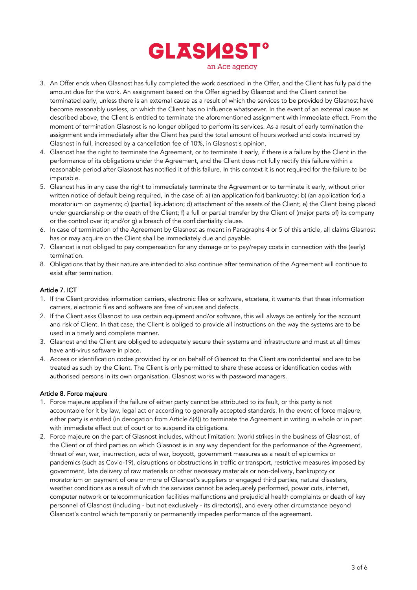

- 3. An Offer ends when Glasnost has fully completed the work described in the Offer, and the Client has fully paid the amount due for the work. An assignment based on the Offer signed by Glasnost and the Client cannot be terminated early, unless there is an external cause as a result of which the services to be provided by Glasnost have become reasonably useless, on which the Client has no influence whatsoever. In the event of an external cause as described above, the Client is entitled to terminate the aforementioned assignment with immediate effect. From the moment of termination Glasnost is no longer obliged to perform its services. As a result of early termination the assignment ends immediately after the Client has paid the total amount of hours worked and costs incurred by Glasnost in full, increased by a cancellation fee of 10%, in Glasnost's opinion.
- 4. Glasnost has the right to terminate the Agreement, or to terminate it early, if there is a failure by the Client in the performance of its obligations under the Agreement, and the Client does not fully rectify this failure within a reasonable period after Glasnost has notified it of this failure. In this context it is not required for the failure to be imputable.
- 5. Glasnost has in any case the right to immediately terminate the Agreement or to terminate it early, without prior written notice of default being required, in the case of: a) (an application for) bankruptcy; b) (an application for) a moratorium on payments; c) (partial) liquidation; d) attachment of the assets of the Client; e) the Client being placed under guardianship or the death of the Client; f) a full or partial transfer by the Client of (major parts of) its company or the control over it; and/or g) a breach of the confidentiality clause.
- 6. In case of termination of the Agreement by Glasnost as meant in Paragraphs 4 or 5 of this article, all claims Glasnost has or may acquire on the Client shall be immediately due and payable.
- 7. Glasnost is not obliged to pay compensation for any damage or to pay/repay costs in connection with the (early) termination.
- 8. Obligations that by their nature are intended to also continue after termination of the Agreement will continue to exist after termination.

# Article 7. ICT

- 1. If the Client provides information carriers, electronic files or software, etcetera, it warrants that these information carriers, electronic files and software are free of viruses and defects.
- 2. If the Client asks Glasnost to use certain equipment and/or software, this will always be entirely for the account and risk of Client. In that case, the Client is obliged to provide all instructions on the way the systems are to be used in a timely and complete manner.
- 3. Glasnost and the Client are obliged to adequately secure their systems and infrastructure and must at all times have anti-virus software in place.
- 4. Access or identification codes provided by or on behalf of Glasnost to the Client are confidential and are to be treated as such by the Client. The Client is only permitted to share these access or identification codes with authorised persons in its own organisation. Glasnost works with password managers.

#### Article 8. Force majeure

- 1. Force majeure applies if the failure of either party cannot be attributed to its fault, or this party is not accountable for it by law, legal act or according to generally accepted standards. In the event of force majeure, either party is entitled (in derogation from Article 6(4)) to terminate the Agreement in writing in whole or in part with immediate effect out of court or to suspend its obligations.
- 2. Force majeure on the part of Glasnost includes, without limitation: (work) strikes in the business of Glasnost, of the Client or of third parties on which Glasnost is in any way dependent for the performance of the Agreement, threat of war, war, insurrection, acts of war, boycott, government measures as a result of epidemics or pandemics (such as Covid-19), disruptions or obstructions in traffic or transport, restrictive measures imposed by government, late delivery of raw materials or other necessary materials or non-delivery, bankruptcy or moratorium on payment of one or more of Glasnost's suppliers or engaged third parties, natural disasters, weather conditions as a result of which the services cannot be adequately performed, power cuts, internet, computer network or telecommunication facilities malfunctions and prejudicial health complaints or death of key personnel of Glasnost (including - but not exclusively - its director(s)), and every other circumstance beyond Glasnost's control which temporarily or permanently impedes performance of the agreement.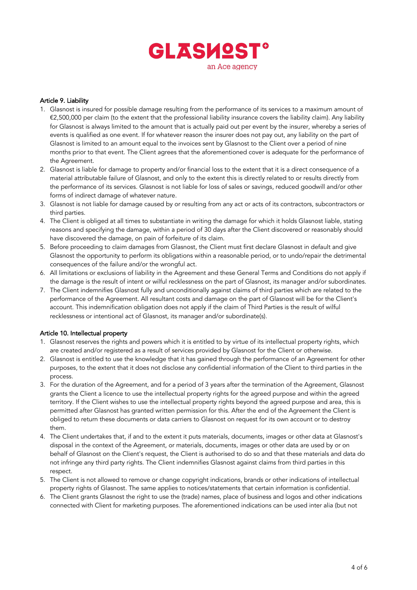

### Article 9. Liability

- 1. Glasnost is insured for possible damage resulting from the performance of its services to a maximum amount of €2,500,000 per claim (to the extent that the professional liability insurance covers the liability claim). Any liability for Glasnost is always limited to the amount that is actually paid out per event by the insurer, whereby a series of events is qualified as one event. If for whatever reason the insurer does not pay out, any liability on the part of Glasnost is limited to an amount equal to the invoices sent by Glasnost to the Client over a period of nine months prior to that event. The Client agrees that the aforementioned cover is adequate for the performance of the Agreement.
- 2. Glasnost is liable for damage to property and/or financial loss to the extent that it is a direct consequence of a material attributable failure of Glasnost, and only to the extent this is directly related to or results directly from the performance of its services. Glasnost is not liable for loss of sales or savings, reduced goodwill and/or other forms of indirect damage of whatever nature.
- 3. Glasnost is not liable for damage caused by or resulting from any act or acts of its contractors, subcontractors or third parties.
- 4. The Client is obliged at all times to substantiate in writing the damage for which it holds Glasnost liable, stating reasons and specifying the damage, within a period of 30 days after the Client discovered or reasonably should have discovered the damage, on pain of forfeiture of its claim.
- 5. Before proceeding to claim damages from Glasnost, the Client must first declare Glasnost in default and give Glasnost the opportunity to perform its obligations within a reasonable period, or to undo/repair the detrimental consequences of the failure and/or the wrongful act.
- 6. All limitations or exclusions of liability in the Agreement and these General Terms and Conditions do not apply if the damage is the result of intent or wilful recklessness on the part of Glasnost, its manager and/or subordinates.
- 7. The Client indemnifies Glasnost fully and unconditionally against claims of third parties which are related to the performance of the Agreement. All resultant costs and damage on the part of Glasnost will be for the Client's account. This indemnification obligation does not apply if the claim of Third Parties is the result of wilful recklessness or intentional act of Glasnost, its manager and/or subordinate(s).

#### Article 10. Intellectual property

- 1. Glasnost reserves the rights and powers which it is entitled to by virtue of its intellectual property rights, which are created and/or registered as a result of services provided by Glasnost for the Client or otherwise.
- 2. Glasnost is entitled to use the knowledge that it has gained through the performance of an Agreement for other purposes, to the extent that it does not disclose any confidential information of the Client to third parties in the process.
- 3. For the duration of the Agreement, and for a period of 3 years after the termination of the Agreement, Glasnost grants the Client a licence to use the intellectual property rights for the agreed purpose and within the agreed territory. If the Client wishes to use the intellectual property rights beyond the agreed purpose and area, this is permitted after Glasnost has granted written permission for this. After the end of the Agreement the Client is obliged to return these documents or data carriers to Glasnost on request for its own account or to destroy them.
- 4. The Client undertakes that, if and to the extent it puts materials, documents, images or other data at Glasnost's disposal in the context of the Agreement, or materials, documents, images or other data are used by or on behalf of Glasnost on the Client's request, the Client is authorised to do so and that these materials and data do not infringe any third party rights. The Client indemnifies Glasnost against claims from third parties in this respect.
- 5. The Client is not allowed to remove or change copyright indications, brands or other indications of intellectual property rights of Glasnost. The same applies to notices/statements that certain information is confidential.
- 6. The Client grants Glasnost the right to use the (trade) names, place of business and logos and other indications connected with Client for marketing purposes. The aforementioned indications can be used inter alia (but not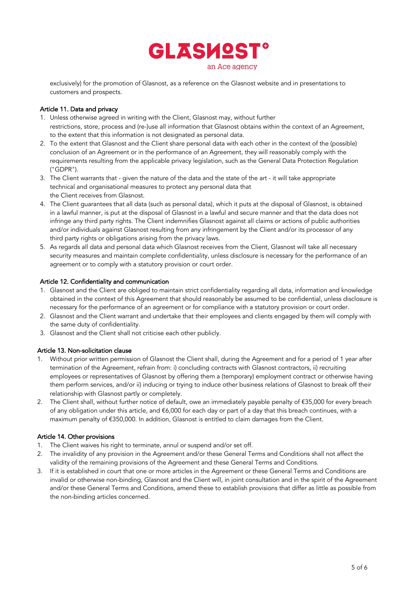

exclusively) for the promotion of Glasnost, as a reference on the Glasnost website and in presentations to customers and prospects.

### Article 11. Data and privacy

- 1. Unless otherwise agreed in writing with the Client, Glasnost may, without further restrictions, store, process and (re-)use all information that Glasnost obtains within the context of an Agreement, to the extent that this information is not designated as personal data.
- 2. To the extent that Glasnost and the Client share personal data with each other in the context of the (possible) conclusion of an Agreement or in the performance of an Agreement, they will reasonably comply with the requirements resulting from the applicable privacy legislation, such as the General Data Protection Regulation ("GDPR").
- 3. The Client warrants that given the nature of the data and the state of the art it will take appropriate technical and organisational measures to protect any personal data that the Client receives from Glasnost.
- 4. The Client guarantees that all data (such as personal data), which it puts at the disposal of Glasnost, is obtained in a lawful manner, is put at the disposal of Glasnost in a lawful and secure manner and that the data does not infringe any third party rights. The Client indemnifies Glasnost against all claims or actions of public authorities and/or individuals against Glasnost resulting from any infringement by the Client and/or its processor of any third party rights or obligations arising from the privacy laws.
- 5. As regards all data and personal data which Glasnost receives from the Client, Glasnost will take all necessary security measures and maintain complete confidentiality, unless disclosure is necessary for the performance of an agreement or to comply with a statutory provision or court order.

# Article 12. Confidentiality and communication

- 1. Glasnost and the Client are obliged to maintain strict confidentiality regarding all data, information and knowledge obtained in the context of this Agreement that should reasonably be assumed to be confidential, unless disclosure is necessary for the performance of an agreement or for compliance with a statutory provision or court order.
- 2. Glasnost and the Client warrant and undertake that their employees and clients engaged by them will comply with the same duty of confidentiality.
- 3. Glasnost and the Client shall not criticise each other publicly.

# Article 13. Non-solicitation clause

- 1. Without prior written permission of Glasnost the Client shall, during the Agreement and for a period of 1 year after termination of the Agreement, refrain from: i) concluding contracts with Glasnost contractors, ii) recruiting employees or representatives of Glasnost by offering them a (temporary) employment contract or otherwise having them perform services, and/or ii) inducing or trying to induce other business relations of Glasnost to break off their relationship with Glasnost partly or completely.
- 2. The Client shall, without further notice of default, owe an immediately payable penalty of €35,000 for every breach of any obligation under this article, and €6,000 for each day or part of a day that this breach continues, with a maximum penalty of €350,000. In addition, Glasnost is entitled to claim damages from the Client.

#### Article 14. Other provisions

- 1. The Client waives his right to terminate, annul or suspend and/or set off.
- 2. The invalidity of any provision in the Agreement and/or these General Terms and Conditions shall not affect the validity of the remaining provisions of the Agreement and these General Terms and Conditions.
- 3. If it is established in court that one or more articles in the Agreement or these General Terms and Conditions are invalid or otherwise non-binding, Glasnost and the Client will, in joint consultation and in the spirit of the Agreement and/or these General Terms and Conditions, amend these to establish provisions that differ as little as possible from the non-binding articles concerned.